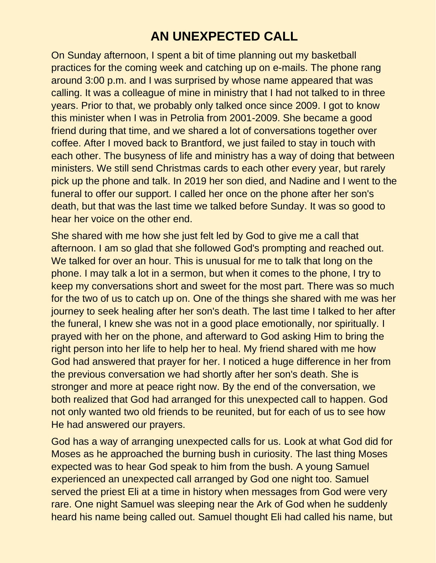## **AN UNEXPECTED CALL**

On Sunday afternoon, I spent a bit of time planning out my basketball practices for the coming week and catching up on e-mails. The phone rang around 3:00 p.m. and I was surprised by whose name appeared that was calling. It was a colleague of mine in ministry that I had not talked to in three years. Prior to that, we probably only talked once since 2009. I got to know this minister when I was in Petrolia from 2001-2009. She became a good friend during that time, and we shared a lot of conversations together over coffee. After I moved back to Brantford, we just failed to stay in touch with each other. The busyness of life and ministry has a way of doing that between ministers. We still send Christmas cards to each other every year, but rarely pick up the phone and talk. In 2019 her son died, and Nadine and I went to the funeral to offer our support. I called her once on the phone after her son's death, but that was the last time we talked before Sunday. It was so good to hear her voice on the other end.

She shared with me how she just felt led by God to give me a call that afternoon. I am so glad that she followed God's prompting and reached out. We talked for over an hour. This is unusual for me to talk that long on the phone. I may talk a lot in a sermon, but when it comes to the phone, I try to keep my conversations short and sweet for the most part. There was so much for the two of us to catch up on. One of the things she shared with me was her journey to seek healing after her son's death. The last time I talked to her after the funeral, I knew she was not in a good place emotionally, nor spiritually. I prayed with her on the phone, and afterward to God asking Him to bring the right person into her life to help her to heal. My friend shared with me how God had answered that prayer for her. I noticed a huge difference in her from the previous conversation we had shortly after her son's death. She is stronger and more at peace right now. By the end of the conversation, we both realized that God had arranged for this unexpected call to happen. God not only wanted two old friends to be reunited, but for each of us to see how He had answered our prayers.

God has a way of arranging unexpected calls for us. Look at what God did for Moses as he approached the burning bush in curiosity. The last thing Moses expected was to hear God speak to him from the bush. A young Samuel experienced an unexpected call arranged by God one night too. Samuel served the priest Eli at a time in history when messages from God were very rare. One night Samuel was sleeping near the Ark of God when he suddenly heard his name being called out. Samuel thought Eli had called his name, but